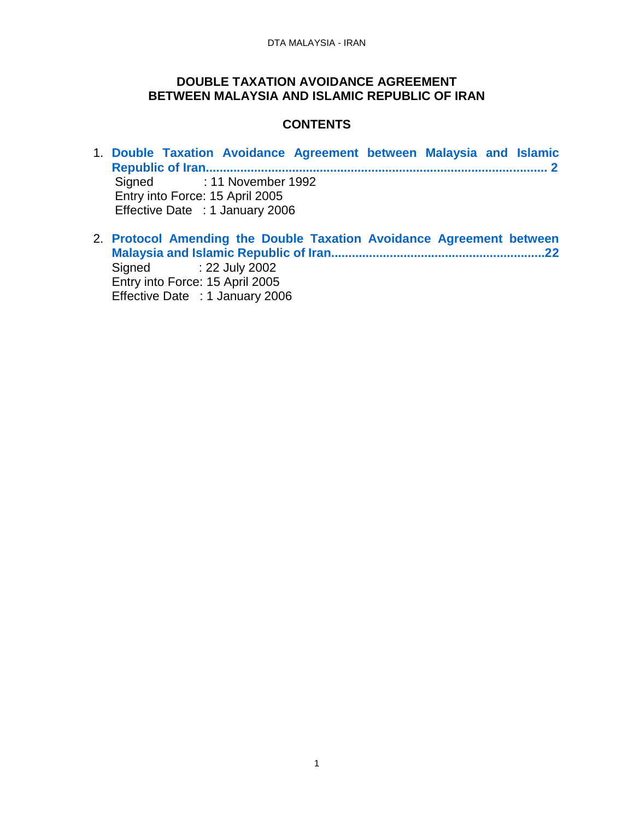#### **DOUBLE TAXATION AVOIDANCE AGREEMENT BETWEEN MALAYSIA AND ISLAMIC REPUBLIC OF IRAN**

# **CONTENTS**

- 1. **[Double Taxation Avoidance Agreement between Malaysia and Islamic](#page-1-0)  [Republic of Iran...................................................................................................](#page-1-0) 2** Signed : 11 November 1992 Entry into Force: 15 April 2005 Effective Date : 1 January 2006
- 2. **[Protocol Amending the Double Taxation Avoidance Agreement between](#page-21-0)  [Malaysia and Islamic Republic of Iran..............................................................22](#page-21-0)** Signed : 22 July 2002 Entry into Force: 15 April 2005 Effective Date : 1 January 2006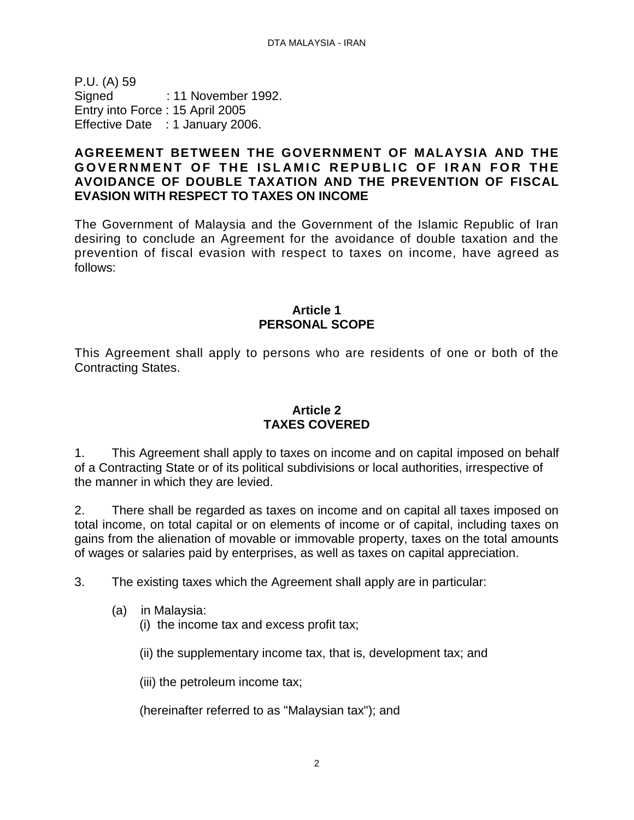<span id="page-1-0"></span>P.U. (A) 59 Signed : 11 November 1992. Entry into Force : 15 April 2005 Effective Date : 1 January 2006.

#### **AGREEMENT BETWEEN THE GOVERNMENT OF MALAYSIA AND THE** GOVERNMENT OF THE ISLAMIC REPUBLIC OF IRAN FOR THE **AVOIDANCE OF DOUBLE TAXATION AND THE PREVENTION OF FISCAL EVASION WITH RESPECT TO TAXES ON INCOME**

The Government of Malaysia and the Government of the Islamic Republic of Iran desiring to conclude an Agreement for the avoidance of double taxation and the prevention of fiscal evasion with respect to taxes on income, have agreed as follows:

#### **Article 1 PERSONAL SCOPE**

This Agreement shall apply to persons who are residents of one or both of the Contracting States.

# **Article 2 TAXES COVERED**

1. This Agreement shall apply to taxes on income and on capital imposed on behalf of a Contracting State or of its political subdivisions or local authorities, irrespective of the manner in which they are levied.

2. There shall be regarded as taxes on income and on capital all taxes imposed on total income, on total capital or on elements of income or of capital, including taxes on gains from the alienation of movable or immovable property, taxes on the total amounts of wages or salaries paid by enterprises, as well as taxes on capital appreciation.

3. The existing taxes which the Agreement shall apply are in particular:

- (a) in Malaysia:
	- (i) the income tax and excess profit tax;

(ii) the supplementary income tax, that is, development tax; and

(iii) the petroleum income tax;

(hereinafter referred to as "Malaysian tax"); and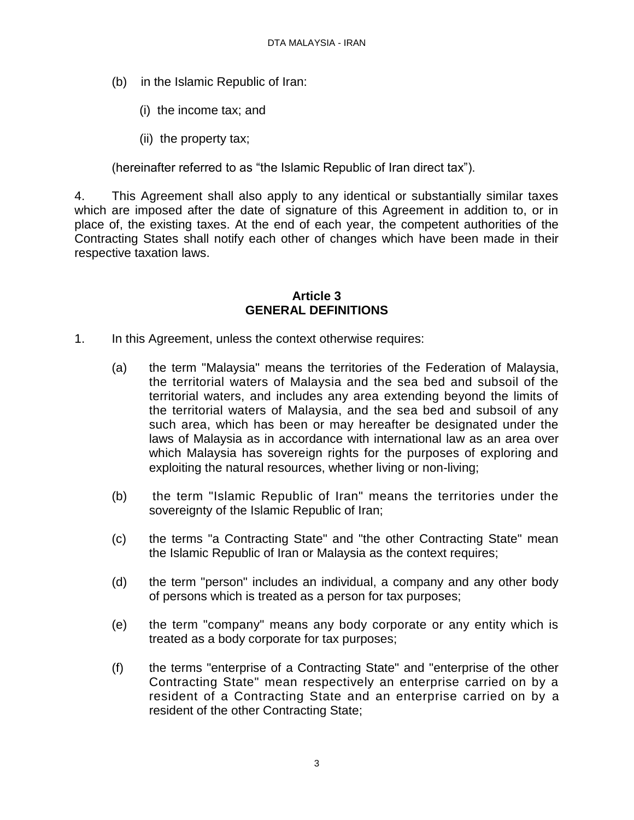- (b) in the Islamic Republic of Iran:
	- (i) the income tax; and
	- (ii) the property tax;

(hereinafter referred to as "the Islamic Republic of Iran direct tax").

4. This Agreement shall also apply to any identical or substantially similar taxes which are imposed after the date of signature of this Agreement in addition to, or in place of, the existing taxes. At the end of each year, the competent authorities of the Contracting States shall notify each other of changes which have been made in their respective taxation laws.

#### **Article 3 GENERAL DEFINITIONS**

- 1. In this Agreement, unless the context otherwise requires:
	- (a) the term "Malaysia" means the territories of the Federation of Malaysia, the territorial waters of Malaysia and the sea bed and subsoil of the territorial waters, and includes any area extending beyond the limits of the territorial waters of Malaysia, and the sea bed and subsoil of any such area, which has been or may hereafter be designated under the laws of Malaysia as in accordance with international law as an area over which Malaysia has sovereign rights for the purposes of exploring and exploiting the natural resources, whether living or non-living;
	- (b) the term "Islamic Republic of Iran" means the territories under the sovereignty of the Islamic Republic of Iran;
	- (c) the terms "a Contracting State" and "the other Contracting State" mean the Islamic Republic of Iran or Malaysia as the context requires;
	- (d) the term "person" includes an individual, a company and any other body of persons which is treated as a person for tax purposes;
	- (e) the term "company" means any body corporate or any entity which is treated as a body corporate for tax purposes;
	- (f) the terms "enterprise of a Contracting State" and "enterprise of the other Contracting State" mean respectively an enterprise carried on by a resident of a Contracting State and an enterprise carried on by a resident of the other Contracting State;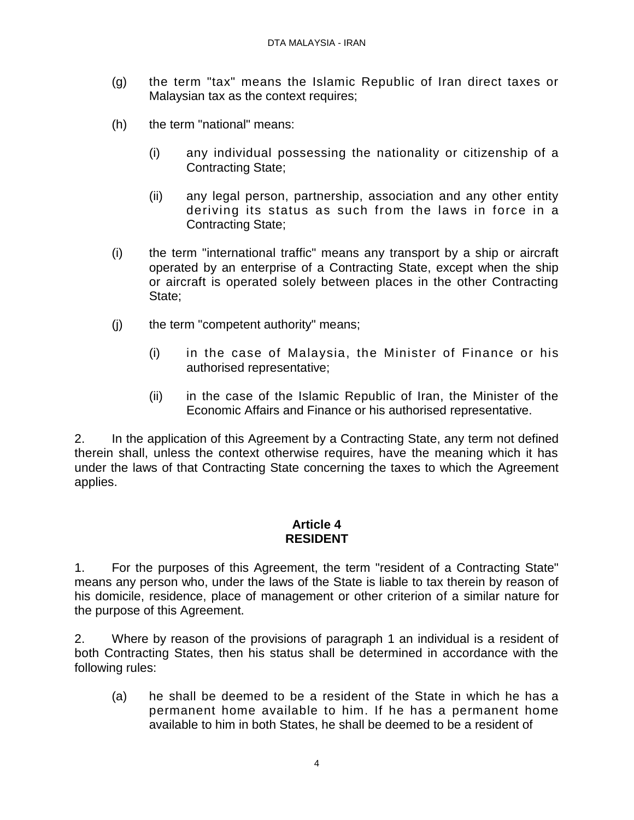- (g) the term "tax" means the Islamic Republic of Iran direct taxes or Malaysian tax as the context requires;
- (h) the term "national" means:
	- (i) any individual possessing the nationality or citizenship of a Contracting State;
	- (ii) any legal person, partnership, association and any other entity deriving its status as such from the laws in force in a Contracting State;
- (i) the term "international traffic" means any transport by a ship or aircraft operated by an enterprise of a Contracting State, except when the ship or aircraft is operated solely between places in the other Contracting State;
- (j) the term "competent authority" means;
	- (i) in the case of Malaysia, the Minister of Finance or his authorised representative;
	- (ii) in the case of the Islamic Republic of Iran, the Minister of the Economic Affairs and Finance or his authorised representative.

2. In the application of this Agreement by a Contracting State, any term not defined therein shall, unless the context otherwise requires, have the meaning which it has under the laws of that Contracting State concerning the taxes to which the Agreement applies.

#### **Article 4 RESIDENT**

1. For the purposes of this Agreement, the term "resident of a Contracting State" means any person who, under the laws of the State is liable to tax therein by reason of his domicile, residence, place of management or other criterion of a similar nature for the purpose of this Agreement.

2. Where by reason of the provisions of paragraph 1 an individual is a resident of both Contracting States, then his status shall be determined in accordance with the following rules:

(a) he shall be deemed to be a resident of the State in which he has a permanent home available to him. If he has a permanent home available to him in both States, he shall be deemed to be a resident of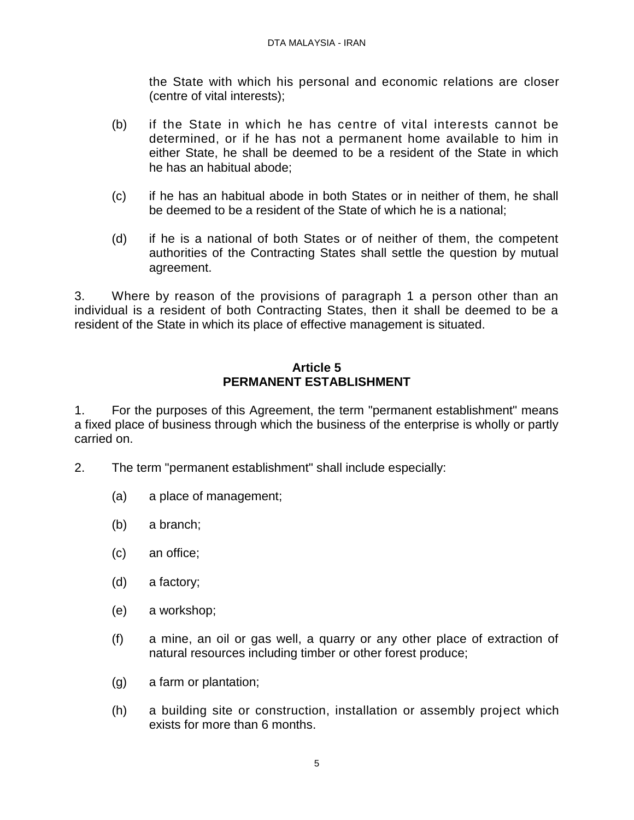the State with which his personal and economic relations are closer (centre of vital interests);

- (b) if the State in which he has centre of vital interests cannot be determined, or if he has not a permanent home available to him in either State, he shall be deemed to be a resident of the State in which he has an habitual abode;
- (c) if he has an habitual abode in both States or in neither of them, he shall be deemed to be a resident of the State of which he is a national;
- (d) if he is a national of both States or of neither of them, the competent authorities of the Contracting States shall settle the question by mutual agreement.

3. Where by reason of the provisions of paragraph 1 a person other than an individual is a resident of both Contracting States, then it shall be deemed to be a resident of the State in which its place of effective management is situated.

# **Article 5 PERMANENT ESTABLISHMENT**

1. For the purposes of this Agreement, the term "permanent establishment" means a fixed place of business through which the business of the enterprise is wholly or partly carried on.

- 2. The term "permanent establishment" shall include especially:
	- (a) a place of management;
	- (b) a branch;
	- (c) an office;
	- (d) a factory;
	- (e) a workshop;
	- (f) a mine, an oil or gas well, a quarry or any other place of extraction of natural resources including timber or other forest produce;
	- (g) a farm or plantation;
	- (h) a building site or construction, installation or assembly project which exists for more than 6 months.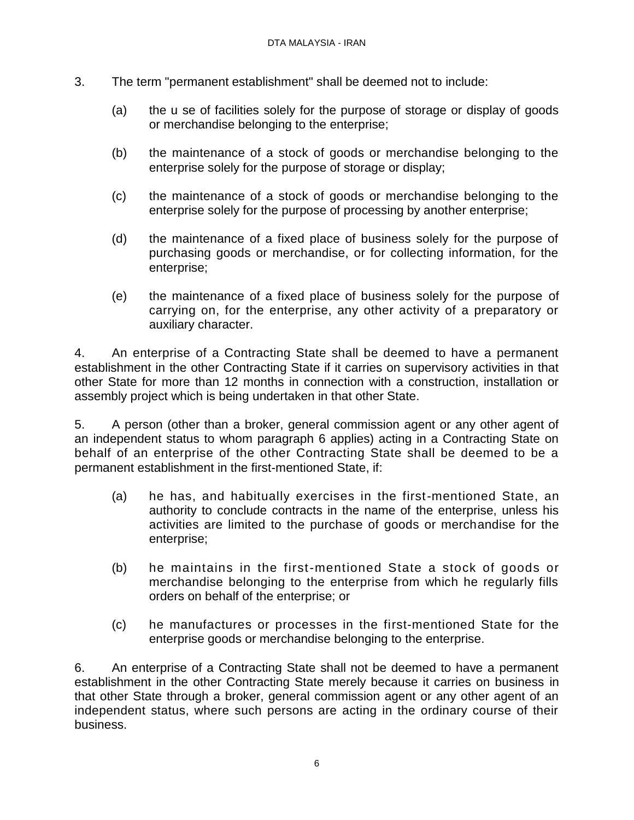- 3. The term "permanent establishment" shall be deemed not to include:
	- (a) the u se of facilities solely for the purpose of storage or display of goods or merchandise belonging to the enterprise;
	- (b) the maintenance of a stock of goods or merchandise belonging to the enterprise solely for the purpose of storage or display;
	- (c) the maintenance of a stock of goods or merchandise belonging to the enterprise solely for the purpose of processing by another enterprise;
	- (d) the maintenance of a fixed place of business solely for the purpose of purchasing goods or merchandise, or for collecting information, for the enterprise;
	- (e) the maintenance of a fixed place of business solely for the purpose of carrying on, for the enterprise, any other activity of a preparatory or auxiliary character.

4. An enterprise of a Contracting State shall be deemed to have a permanent establishment in the other Contracting State if it carries on supervisory activities in that other State for more than 12 months in connection with a construction, installation or assembly project which is being undertaken in that other State.

5. A person (other than a broker, general commission agent or any other agent of an independent status to whom paragraph 6 applies) acting in a Contracting State on behalf of an enterprise of the other Contracting State shall be deemed to be a permanent establishment in the first-mentioned State, if:

- (a) he has, and habitually exercises in the first-mentioned State, an authority to conclude contracts in the name of the enterprise, unless his activities are limited to the purchase of goods or merchandise for the enterprise;
- (b) he maintains in the first-mentioned State a stock of goods or merchandise belonging to the enterprise from which he regularly fills orders on behalf of the enterprise; or
- (c) he manufactures or processes in the first-mentioned State for the enterprise goods or merchandise belonging to the enterprise.

6. An enterprise of a Contracting State shall not be deemed to have a permanent establishment in the other Contracting State merely because it carries on business in that other State through a broker, general commission agent or any other agent of an independent status, where such persons are acting in the ordinary course of their business.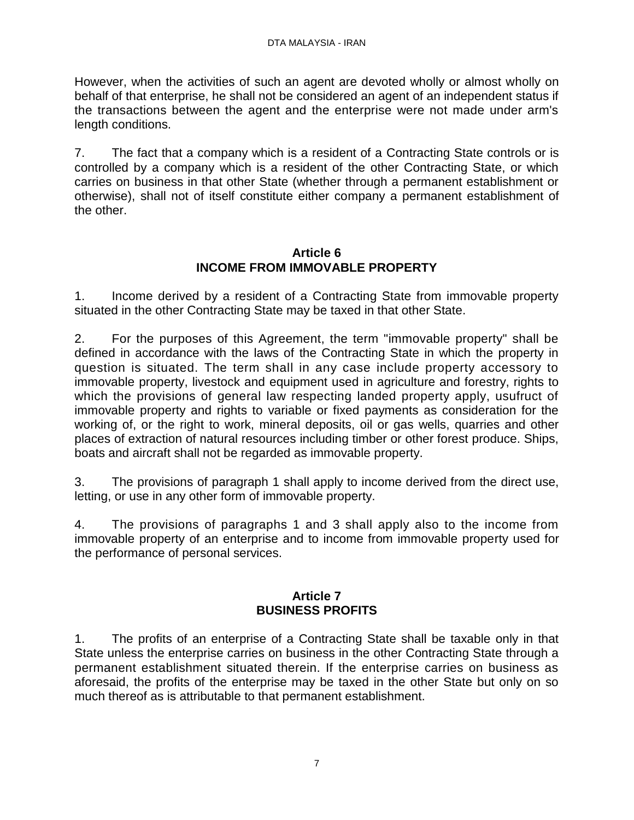However, when the activities of such an agent are devoted wholly or almost wholly on behalf of that enterprise, he shall not be considered an agent of an independent status if the transactions between the agent and the enterprise were not made under arm's length conditions.

7. The fact that a company which is a resident of a Contracting State controls or is controlled by a company which is a resident of the other Contracting State, or which carries on business in that other State (whether through a permanent establishment or otherwise), shall not of itself constitute either company a permanent establishment of the other.

#### **Article 6 INCOME FROM IMMOVABLE PROPERTY**

1. Income derived by a resident of a Contracting State from immovable property situated in the other Contracting State may be taxed in that other State.

2. For the purposes of this Agreement, the term "immovable property" shall be defined in accordance with the laws of the Contracting State in which the property in question is situated. The term shall in any case include property accessory to immovable property, livestock and equipment used in agriculture and forestry, rights to which the provisions of general law respecting landed property apply, usufruct of immovable property and rights to variable or fixed payments as consideration for the working of, or the right to work, mineral deposits, oil or gas wells, quarries and other places of extraction of natural resources including timber or other forest produce. Ships, boats and aircraft shall not be regarded as immovable property.

3. The provisions of paragraph 1 shall apply to income derived from the direct use, letting, or use in any other form of immovable property.

4. The provisions of paragraphs 1 and 3 shall apply also to the income from immovable property of an enterprise and to income from immovable property used for the performance of personal services.

# **Article 7 BUSINESS PROFITS**

1. The profits of an enterprise of a Contracting State shall be taxable only in that State unless the enterprise carries on business in the other Contracting State through a permanent establishment situated therein. If the enterprise carries on business as aforesaid, the profits of the enterprise may be taxed in the other State but only on so much thereof as is attributable to that permanent establishment.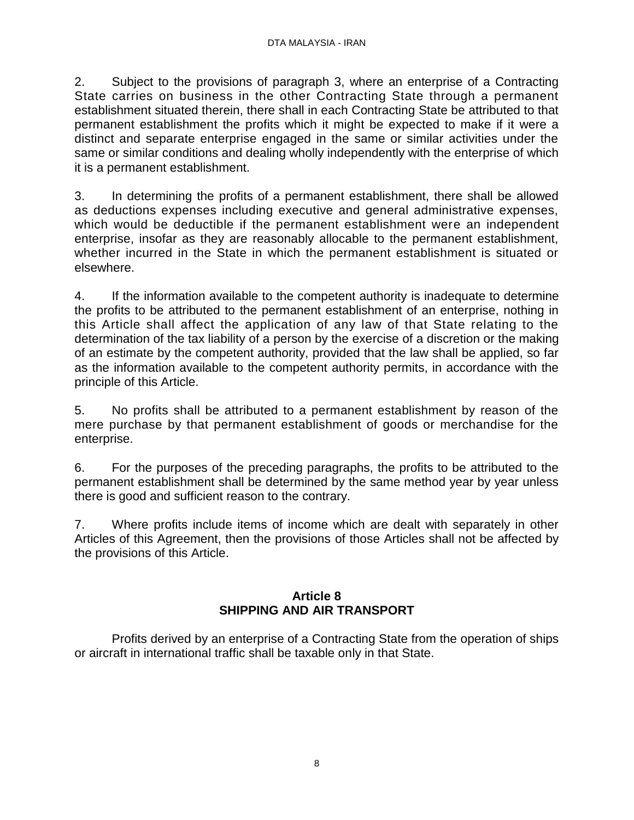2. Subject to the provisions of paragraph 3, where an enterprise of a Contracting State carries on business in the other Contracting State through a permanent establishment situated therein, there shall in each Contracting State be attributed to that permanent establishment the profits which it might be expected to make if it were a distinct and separate enterprise engaged in the same or similar activities under the same or similar conditions and dealing wholly independently with the enterprise of which it is a permanent establishment.

3. In determining the profits of a permanent establishment, there shall be allowed as deductions expenses including executive and general administrative expenses, which would be deductible if the permanent establishment were an independent enterprise, insofar as they are reasonably allocable to the permanent establishment, whether incurred in the State in which the permanent establishment is situated or elsewhere.

4. If the information available to the competent authority is inadequate to determine the profits to be attributed to the permanent establishment of an enterprise, nothing in this Article shall affect the application of any law of that State relating to the determination of the tax liability of a person by the exercise of a discretion or the making of an estimate by the competent authority, provided that the law shall be applied, so far as the information available to the competent authority permits, in accordance with the principle of this Article.

5. No profits shall be attributed to a permanent establishment by reason of the mere purchase by that permanent establishment of goods or merchandise for the enterprise.

6. For the purposes of the preceding paragraphs, the profits to be attributed to the permanent establishment shall be determined by the same method year by year unless there is good and sufficient reason to the contrary.

7. Where profits include items of income which are dealt with separately in other Articles of this Agreement, then the provisions of those Articles shall not be affected by the provisions of this Article.

# **Article 8 SHIPPING AND AIR TRANSPORT**

Profits derived by an enterprise of a Contracting State from the operation of ships or aircraft in international traffic shall be taxable only in that State.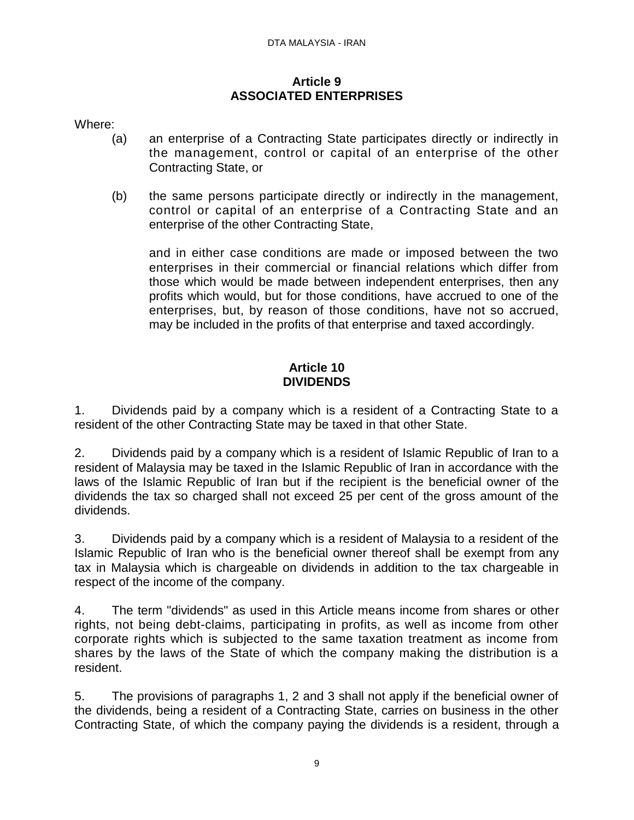#### **Article 9 ASSOCIATED ENTERPRISES**

Where:

- (a) an enterprise of a Contracting State participates directly or indirectly in the management, control or capital of an enterprise of the other Contracting State, or
- (b) the same persons participate directly or indirectly in the management, control or capital of an enterprise of a Contracting State and an enterprise of the other Contracting State,

and in either case conditions are made or imposed between the two enterprises in their commercial or financial relations which differ from those which would be made between independent enterprises, then any profits which would, but for those conditions, have accrued to one of the enterprises, but, by reason of those conditions, have not so accrued, may be included in the profits of that enterprise and taxed accordingly.

# **Article 10 DIVIDENDS**

1. Dividends paid by a company which is a resident of a Contracting State to a resident of the other Contracting State may be taxed in that other State.

2. Dividends paid by a company which is a resident of Islamic Republic of Iran to a resident of Malaysia may be taxed in the Islamic Republic of Iran in accordance with the laws of the Islamic Republic of Iran but if the recipient is the beneficial owner of the dividends the tax so charged shall not exceed 25 per cent of the gross amount of the dividends.

3. Dividends paid by a company which is a resident of Malaysia to a resident of the Islamic Republic of Iran who is the beneficial owner thereof shall be exempt from any tax in Malaysia which is chargeable on dividends in addition to the tax chargeable in respect of the income of the company.

4. The term "dividends" as used in this Article means income from shares or other rights, not being debt-claims, participating in profits, as well as income from other corporate rights which is subjected to the same taxation treatment as income from shares by the laws of the State of which the company making the distribution is a resident.

5. The provisions of paragraphs 1, 2 and 3 shall not apply if the beneficial owner of the dividends, being a resident of a Contracting State, carries on business in the other Contracting State, of which the company paying the dividends is a resident, through a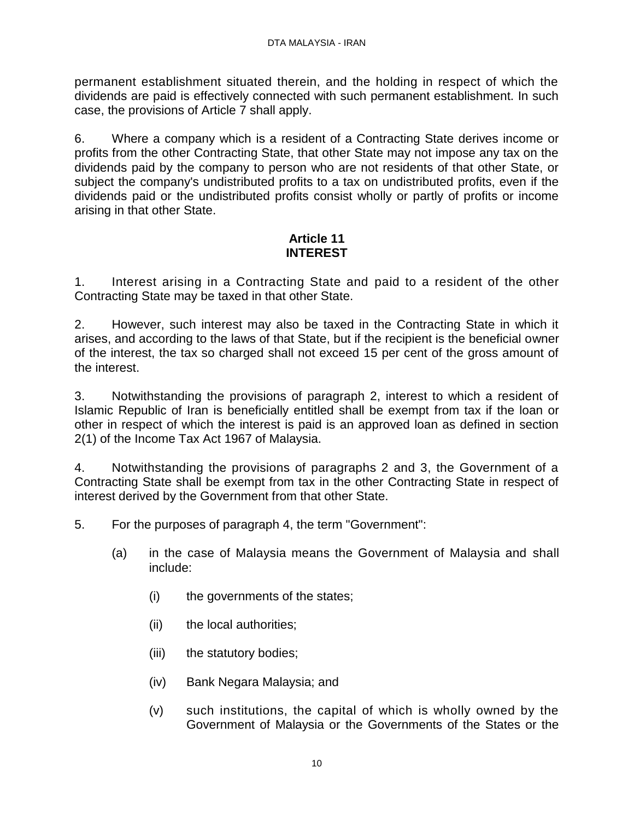permanent establishment situated therein, and the holding in respect of which the dividends are paid is effectively connected with such permanent establishment. In such case, the provisions of Article 7 shall apply.

6. Where a company which is a resident of a Contracting State derives income or profits from the other Contracting State, that other State may not impose any tax on the dividends paid by the company to person who are not residents of that other State, or subject the company's undistributed profits to a tax on undistributed profits, even if the dividends paid or the undistributed profits consist wholly or partly of profits or income arising in that other State.

# **Article 11 INTEREST**

1. Interest arising in a Contracting State and paid to a resident of the other Contracting State may be taxed in that other State.

2. However, such interest may also be taxed in the Contracting State in which it arises, and according to the laws of that State, but if the recipient is the beneficial owner of the interest, the tax so charged shall not exceed 15 per cent of the gross amount of the interest.

3. Notwithstanding the provisions of paragraph 2, interest to which a resident of Islamic Republic of Iran is beneficially entitled shall be exempt from tax if the loan or other in respect of which the interest is paid is an approved loan as defined in section 2(1) of the Income Tax Act 1967 of Malaysia.

4. Notwithstanding the provisions of paragraphs 2 and 3, the Government of a Contracting State shall be exempt from tax in the other Contracting State in respect of interest derived by the Government from that other State.

5. For the purposes of paragraph 4, the term "Government":

- (a) in the case of Malaysia means the Government of Malaysia and shall include:
	- (i) the governments of the states;
	- (ii) the local authorities;
	- (iii) the statutory bodies;
	- (iv) Bank Negara Malaysia; and
	- (v) such institutions, the capital of which is wholly owned by the Government of Malaysia or the Governments of the States or the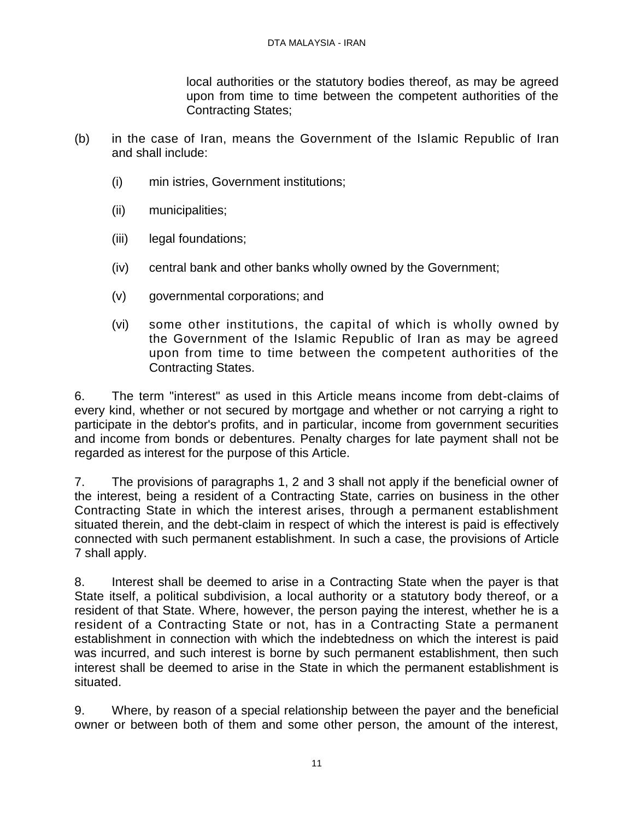local authorities or the statutory bodies thereof, as may be agreed upon from time to time between the competent authorities of the Contracting States;

- (b) in the case of Iran, means the Government of the Islamic Republic of Iran and shall include:
	- (i) min istries, Government institutions;
	- (ii) municipalities;
	- (iii) legal foundations;
	- (iv) central bank and other banks wholly owned by the Government;
	- (v) governmental corporations; and
	- (vi) some other institutions, the capital of which is wholly owned by the Government of the Islamic Republic of Iran as may be agreed upon from time to time between the competent authorities of the Contracting States.

6. The term "interest" as used in this Article means income from debt-claims of every kind, whether or not secured by mortgage and whether or not carrying a right to participate in the debtor's profits, and in particular, income from government securities and income from bonds or debentures. Penalty charges for late payment shall not be regarded as interest for the purpose of this Article.

7. The provisions of paragraphs 1, 2 and 3 shall not apply if the beneficial owner of the interest, being a resident of a Contracting State, carries on business in the other Contracting State in which the interest arises, through a permanent establishment situated therein, and the debt-claim in respect of which the interest is paid is effectively connected with such permanent establishment. In such a case, the provisions of Article 7 shall apply.

8. Interest shall be deemed to arise in a Contracting State when the payer is that State itself, a political subdivision, a local authority or a statutory body thereof, or a resident of that State. Where, however, the person paying the interest, whether he is a resident of a Contracting State or not, has in a Contracting State a permanent establishment in connection with which the indebtedness on which the interest is paid was incurred, and such interest is borne by such permanent establishment, then such interest shall be deemed to arise in the State in which the permanent establishment is situated.

9. Where, by reason of a special relationship between the payer and the beneficial owner or between both of them and some other person, the amount of the interest,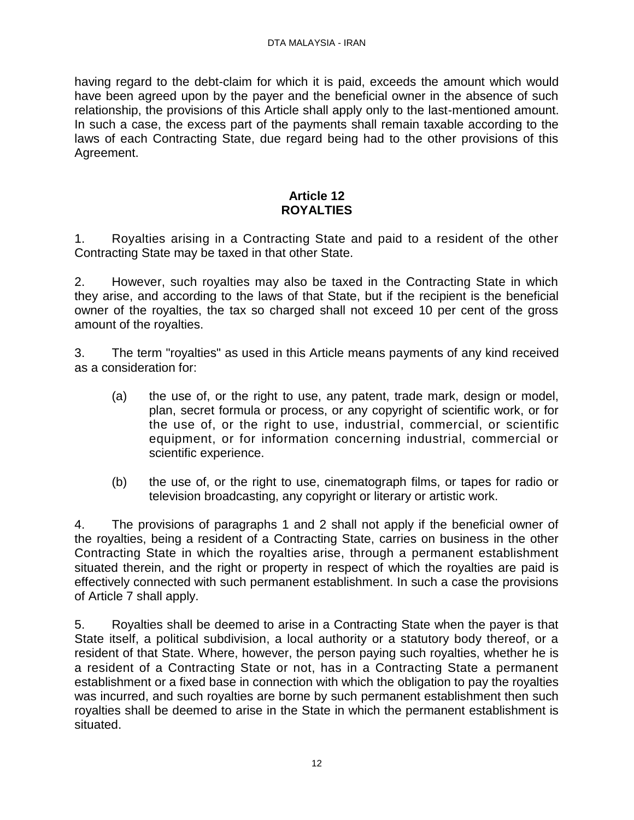having regard to the debt-claim for which it is paid, exceeds the amount which would have been agreed upon by the payer and the beneficial owner in the absence of such relationship, the provisions of this Article shall apply only to the last-mentioned amount. In such a case, the excess part of the payments shall remain taxable according to the laws of each Contracting State, due regard being had to the other provisions of this Agreement.

# **Article 12 ROYALTIES**

1. Royalties arising in a Contracting State and paid to a resident of the other Contracting State may be taxed in that other State.

2. However, such royalties may also be taxed in the Contracting State in which they arise, and according to the laws of that State, but if the recipient is the beneficial owner of the royalties, the tax so charged shall not exceed 10 per cent of the gross amount of the royalties.

3. The term "royalties" as used in this Article means payments of any kind received as a consideration for:

- (a) the use of, or the right to use, any patent, trade mark, design or model, plan, secret formula or process, or any copyright of scientific work, or for the use of, or the right to use, industrial, commercial, or scientific equipment, or for information concerning industrial, commercial or scientific experience.
- (b) the use of, or the right to use, cinematograph films, or tapes for radio or television broadcasting, any copyright or literary or artistic work.

4. The provisions of paragraphs 1 and 2 shall not apply if the beneficial owner of the royalties, being a resident of a Contracting State, carries on business in the other Contracting State in which the royalties arise, through a permanent establishment situated therein, and the right or property in respect of which the royalties are paid is effectively connected with such permanent establishment. In such a case the provisions of Article 7 shall apply.

5. Royalties shall be deemed to arise in a Contracting State when the payer is that State itself, a political subdivision, a local authority or a statutory body thereof, or a resident of that State. Where, however, the person paying such royalties, whether he is a resident of a Contracting State or not, has in a Contracting State a permanent establishment or a fixed base in connection with which the obligation to pay the royalties was incurred, and such royalties are borne by such permanent establishment then such royalties shall be deemed to arise in the State in which the permanent establishment is situated.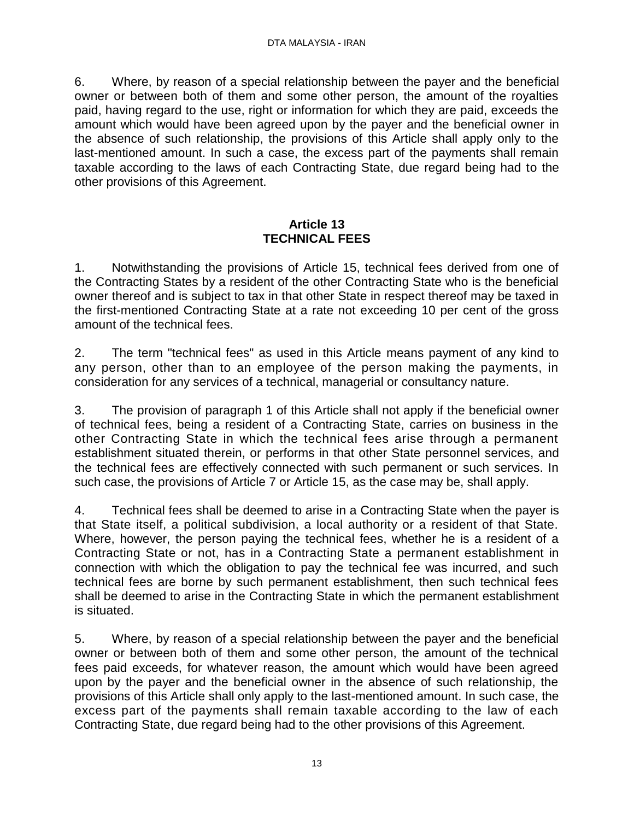6. Where, by reason of a special relationship between the payer and the beneficial owner or between both of them and some other person, the amount of the royalties paid, having regard to the use, right or information for which they are paid, exceeds the amount which would have been agreed upon by the payer and the beneficial owner in the absence of such relationship, the provisions of this Article shall apply only to the last-mentioned amount. In such a case, the excess part of the payments shall remain taxable according to the laws of each Contracting State, due regard being had to the other provisions of this Agreement.

# **Article 13 TECHNICAL FEES**

1. Notwithstanding the provisions of Article 15, technical fees derived from one of the Contracting States by a resident of the other Contracting State who is the beneficial owner thereof and is subject to tax in that other State in respect thereof may be taxed in the first-mentioned Contracting State at a rate not exceeding 10 per cent of the gross amount of the technical fees.

2. The term "technical fees" as used in this Article means payment of any kind to any person, other than to an employee of the person making the payments, in consideration for any services of a technical, managerial or consultancy nature.

3. The provision of paragraph 1 of this Article shall not apply if the beneficial owner of technical fees, being a resident of a Contracting State, carries on business in the other Contracting State in which the technical fees arise through a permanent establishment situated therein, or performs in that other State personnel services, and the technical fees are effectively connected with such permanent or such services. In such case, the provisions of Article 7 or Article 15, as the case may be, shall apply.

4. Technical fees shall be deemed to arise in a Contracting State when the payer is that State itself, a political subdivision, a local authority or a resident of that State. Where, however, the person paying the technical fees, whether he is a resident of a Contracting State or not, has in a Contracting State a permanent establishment in connection with which the obligation to pay the technical fee was incurred, and such technical fees are borne by such permanent establishment, then such technical fees shall be deemed to arise in the Contracting State in which the permanent establishment is situated.

5. Where, by reason of a special relationship between the payer and the beneficial owner or between both of them and some other person, the amount of the technical fees paid exceeds, for whatever reason, the amount which would have been agreed upon by the payer and the beneficial owner in the absence of such relationship, the provisions of this Article shall only apply to the last-mentioned amount. In such case, the excess part of the payments shall remain taxable according to the law of each Contracting State, due regard being had to the other provisions of this Agreement.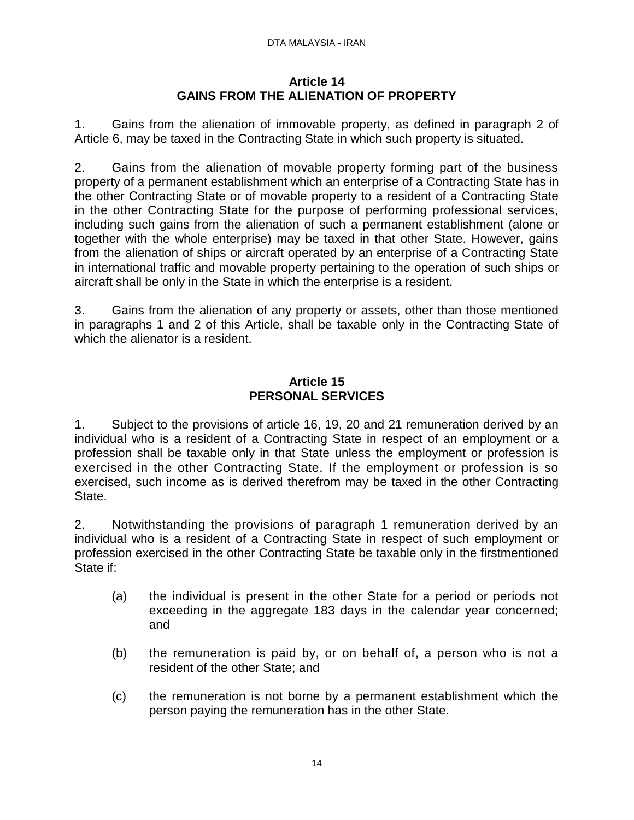#### DTA MALAYSIA - IRAN

#### **Article 14 GAINS FROM THE ALIENATION OF PROPERTY**

1. Gains from the alienation of immovable property, as defined in paragraph 2 of Article 6, may be taxed in the Contracting State in which such property is situated.

2. Gains from the alienation of movable property forming part of the business property of a permanent establishment which an enterprise of a Contracting State has in the other Contracting State or of movable property to a resident of a Contracting State in the other Contracting State for the purpose of performing professional services, including such gains from the alienation of such a permanent establishment (alone or together with the whole enterprise) may be taxed in that other State. However, gains from the alienation of ships or aircraft operated by an enterprise of a Contracting State in international traffic and movable property pertaining to the operation of such ships or aircraft shall be only in the State in which the enterprise is a resident.

3. Gains from the alienation of any property or assets, other than those mentioned in paragraphs 1 and 2 of this Article, shall be taxable only in the Contracting State of which the alienator is a resident.

# **Article 15 PERSONAL SERVICES**

1. Subject to the provisions of article 16, 19, 20 and 21 remuneration derived by an individual who is a resident of a Contracting State in respect of an employment or a profession shall be taxable only in that State unless the employment or profession is exercised in the other Contracting State. If the employment or profession is so exercised, such income as is derived therefrom may be taxed in the other Contracting State.

2. Notwithstanding the provisions of paragraph 1 remuneration derived by an individual who is a resident of a Contracting State in respect of such employment or profession exercised in the other Contracting State be taxable only in the firstmentioned State if:

- (a) the individual is present in the other State for a period or periods not exceeding in the aggregate 183 days in the calendar year concerned; and
- (b) the remuneration is paid by, or on behalf of, a person who is not a resident of the other State; and
- (c) the remuneration is not borne by a permanent establishment which the person paying the remuneration has in the other State.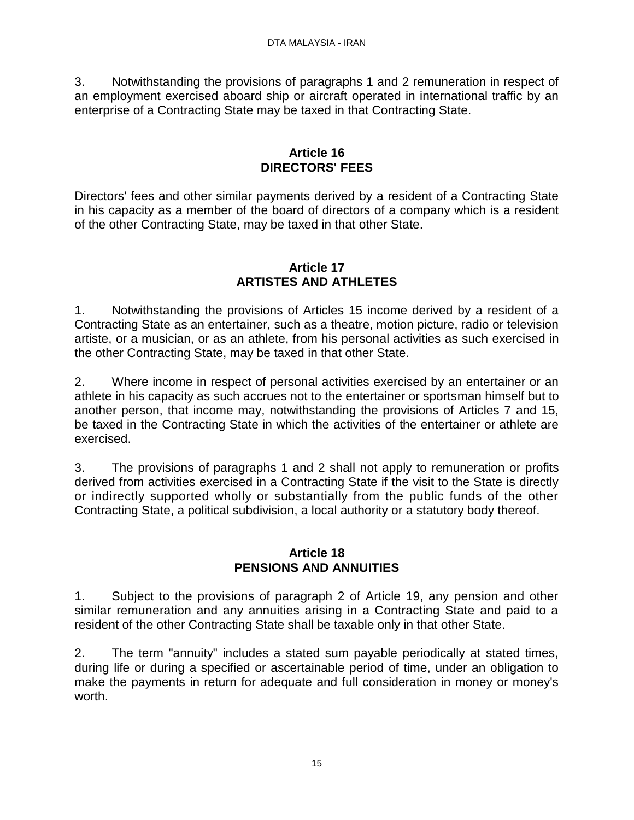3. Notwithstanding the provisions of paragraphs 1 and 2 remuneration in respect of an employment exercised aboard ship or aircraft operated in international traffic by an enterprise of a Contracting State may be taxed in that Contracting State.

#### **Article 16 DIRECTORS' FEES**

Directors' fees and other similar payments derived by a resident of a Contracting State in his capacity as a member of the board of directors of a company which is a resident of the other Contracting State, may be taxed in that other State.

#### **Article 17 ARTISTES AND ATHLETES**

1. Notwithstanding the provisions of Articles 15 income derived by a resident of a Contracting State as an entertainer, such as a theatre, motion picture, radio or television artiste, or a musician, or as an athlete, from his personal activities as such exercised in the other Contracting State, may be taxed in that other State.

2. Where income in respect of personal activities exercised by an entertainer or an athlete in his capacity as such accrues not to the entertainer or sportsman himself but to another person, that income may, notwithstanding the provisions of Articles 7 and 15, be taxed in the Contracting State in which the activities of the entertainer or athlete are exercised.

3. The provisions of paragraphs 1 and 2 shall not apply to remuneration or profits derived from activities exercised in a Contracting State if the visit to the State is directly or indirectly supported wholly or substantially from the public funds of the other Contracting State, a political subdivision, a local authority or a statutory body thereof.

#### **Article 18 PENSIONS AND ANNUITIES**

1. Subject to the provisions of paragraph 2 of Article 19, any pension and other similar remuneration and any annuities arising in a Contracting State and paid to a resident of the other Contracting State shall be taxable only in that other State.

2. The term "annuity" includes a stated sum payable periodically at stated times, during life or during a specified or ascertainable period of time, under an obligation to make the payments in return for adequate and full consideration in money or money's worth.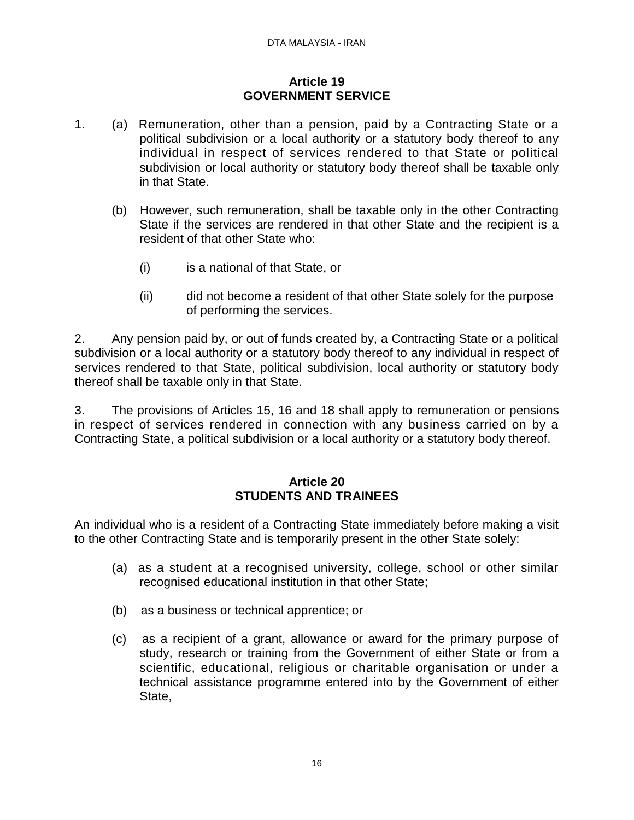#### **Article 19 GOVERNMENT SERVICE**

- 1. (a) Remuneration, other than a pension, paid by a Contracting State or a political subdivision or a local authority or a statutory body thereof to any individual in respect of services rendered to that State or political subdivision or local authority or statutory body thereof shall be taxable only in that State.
	- (b) However, such remuneration, shall be taxable only in the other Contracting State if the services are rendered in that other State and the recipient is a resident of that other State who:
		- (i) is a national of that State, or
		- (ii) did not become a resident of that other State solely for the purpose of performing the services.

2. Any pension paid by, or out of funds created by, a Contracting State or a political subdivision or a local authority or a statutory body thereof to any individual in respect of services rendered to that State, political subdivision, local authority or statutory body thereof shall be taxable only in that State.

3. The provisions of Articles 15, 16 and 18 shall apply to remuneration or pensions in respect of services rendered in connection with any business carried on by a Contracting State, a political subdivision or a local authority or a statutory body thereof.

# **Article 20 STUDENTS AND TRAINEES**

An individual who is a resident of a Contracting State immediately before making a visit to the other Contracting State and is temporarily present in the other State solely:

- (a) as a student at a recognised university, college, school or other similar recognised educational institution in that other State;
- (b) as a business or technical apprentice; or
- (c) as a recipient of a grant, allowance or award for the primary purpose of study, research or training from the Government of either State or from a scientific, educational, religious or charitable organisation or under a technical assistance programme entered into by the Government of either State,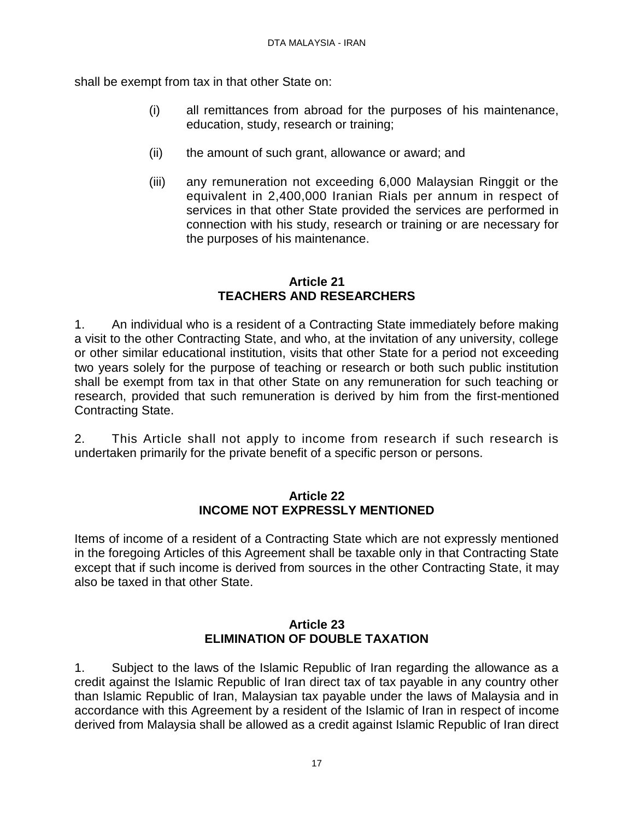shall be exempt from tax in that other State on:

- (i) all remittances from abroad for the purposes of his maintenance, education, study, research or training;
- (ii) the amount of such grant, allowance or award; and
- (iii) any remuneration not exceeding 6,000 Malaysian Ringgit or the equivalent in 2,400,000 Iranian Rials per annum in respect of services in that other State provided the services are performed in connection with his study, research or training or are necessary for the purposes of his maintenance.

# **Article 21 TEACHERS AND RESEARCHERS**

1. An individual who is a resident of a Contracting State immediately before making a visit to the other Contracting State, and who, at the invitation of any university, college or other similar educational institution, visits that other State for a period not exceeding two years solely for the purpose of teaching or research or both such public institution shall be exempt from tax in that other State on any remuneration for such teaching or research, provided that such remuneration is derived by him from the first-mentioned Contracting State.

2. This Article shall not apply to income from research if such research is undertaken primarily for the private benefit of a specific person or persons.

#### **Article 22 INCOME NOT EXPRESSLY MENTIONED**

Items of income of a resident of a Contracting State which are not expressly mentioned in the foregoing Articles of this Agreement shall be taxable only in that Contracting State except that if such income is derived from sources in the other Contracting State, it may also be taxed in that other State.

#### **Article 23 ELIMINATION OF DOUBLE TAXATION**

1. Subject to the laws of the Islamic Republic of Iran regarding the allowance as a credit against the Islamic Republic of Iran direct tax of tax payable in any country other than Islamic Republic of Iran, Malaysian tax payable under the laws of Malaysia and in accordance with this Agreement by a resident of the Islamic of Iran in respect of income derived from Malaysia shall be allowed as a credit against Islamic Republic of Iran direct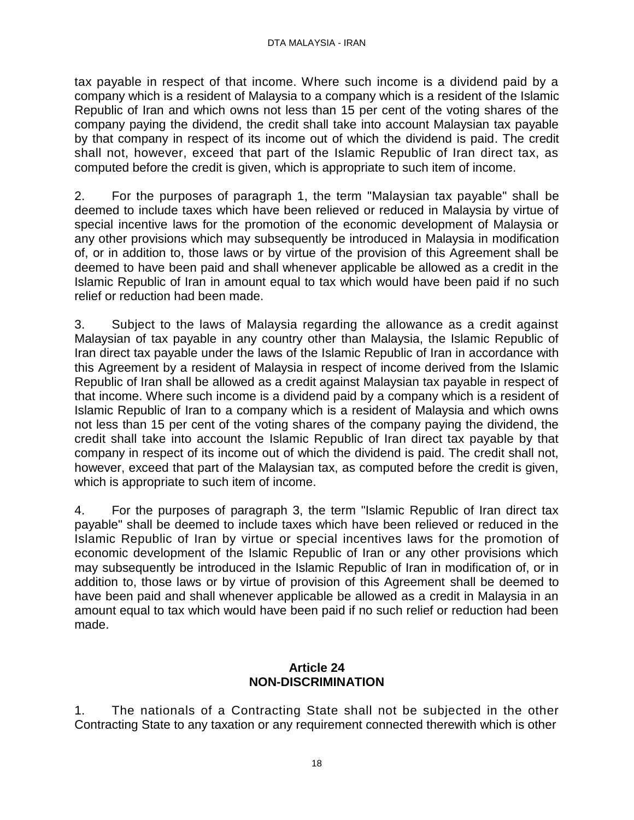tax payable in respect of that income. Where such income is a dividend paid by a company which is a resident of Malaysia to a company which is a resident of the Islamic Republic of Iran and which owns not less than 15 per cent of the voting shares of the company paying the dividend, the credit shall take into account Malaysian tax payable by that company in respect of its income out of which the dividend is paid. The credit shall not, however, exceed that part of the Islamic Republic of Iran direct tax, as computed before the credit is given, which is appropriate to such item of income.

2. For the purposes of paragraph 1, the term "Malaysian tax payable" shall be deemed to include taxes which have been relieved or reduced in Malaysia by virtue of special incentive laws for the promotion of the economic development of Malaysia or any other provisions which may subsequently be introduced in Malaysia in modification of, or in addition to, those laws or by virtue of the provision of this Agreement shall be deemed to have been paid and shall whenever applicable be allowed as a credit in the Islamic Republic of Iran in amount equal to tax which would have been paid if no such relief or reduction had been made.

3. Subject to the laws of Malaysia regarding the allowance as a credit against Malaysian of tax payable in any country other than Malaysia, the Islamic Republic of Iran direct tax payable under the laws of the Islamic Republic of Iran in accordance with this Agreement by a resident of Malaysia in respect of income derived from the Islamic Republic of Iran shall be allowed as a credit against Malaysian tax payable in respect of that income. Where such income is a dividend paid by a company which is a resident of Islamic Republic of Iran to a company which is a resident of Malaysia and which owns not less than 15 per cent of the voting shares of the company paying the dividend, the credit shall take into account the Islamic Republic of Iran direct tax payable by that company in respect of its income out of which the dividend is paid. The credit shall not, however, exceed that part of the Malaysian tax, as computed before the credit is given, which is appropriate to such item of income.

4. For the purposes of paragraph 3, the term "Islamic Republic of Iran direct tax payable" shall be deemed to include taxes which have been relieved or reduced in the Islamic Republic of Iran by virtue or special incentives laws for the promotion of economic development of the Islamic Republic of Iran or any other provisions which may subsequently be introduced in the Islamic Republic of Iran in modification of, or in addition to, those laws or by virtue of provision of this Agreement shall be deemed to have been paid and shall whenever applicable be allowed as a credit in Malaysia in an amount equal to tax which would have been paid if no such relief or reduction had been made.

# **Article 24 NON-DISCRIMINATION**

1. The nationals of a Contracting State shall not be subjected in the other Contracting State to any taxation or any requirement connected therewith which is other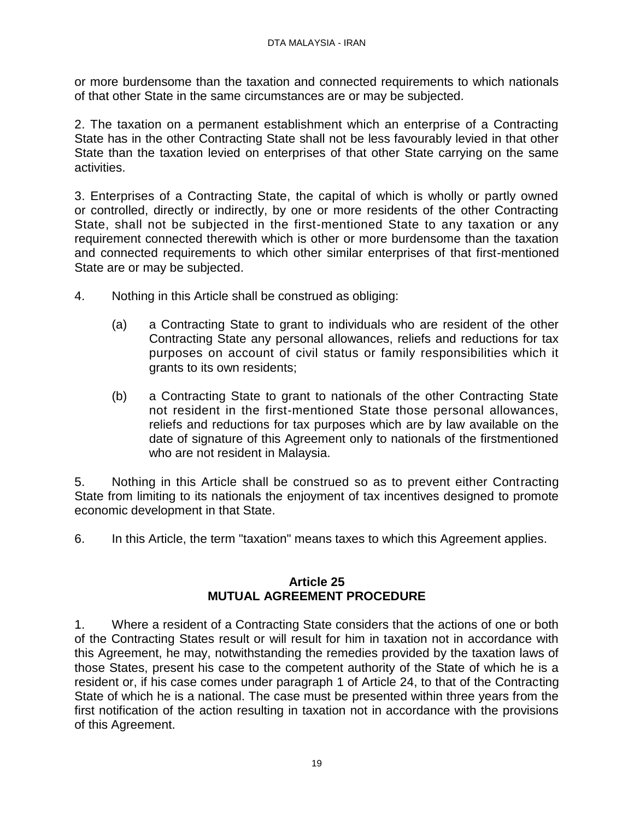or more burdensome than the taxation and connected requirements to which nationals of that other State in the same circumstances are or may be subjected.

2. The taxation on a permanent establishment which an enterprise of a Contracting State has in the other Contracting State shall not be less favourably levied in that other State than the taxation levied on enterprises of that other State carrying on the same activities.

3. Enterprises of a Contracting State, the capital of which is wholly or partly owned or controlled, directly or indirectly, by one or more residents of the other Contracting State, shall not be subjected in the first-mentioned State to any taxation or any requirement connected therewith which is other or more burdensome than the taxation and connected requirements to which other similar enterprises of that first-mentioned State are or may be subjected.

- 4. Nothing in this Article shall be construed as obliging:
	- (a) a Contracting State to grant to individuals who are resident of the other Contracting State any personal allowances, reliefs and reductions for tax purposes on account of civil status or family responsibilities which it grants to its own residents;
	- (b) a Contracting State to grant to nationals of the other Contracting State not resident in the first-mentioned State those personal allowances, reliefs and reductions for tax purposes which are by law available on the date of signature of this Agreement only to nationals of the firstmentioned who are not resident in Malaysia.

5. Nothing in this Article shall be construed so as to prevent either Contracting State from limiting to its nationals the enjoyment of tax incentives designed to promote economic development in that State.

6. In this Article, the term "taxation" means taxes to which this Agreement applies.

#### **Article 25 MUTUAL AGREEMENT PROCEDURE**

1. Where a resident of a Contracting State considers that the actions of one or both of the Contracting States result or will result for him in taxation not in accordance with this Agreement, he may, notwithstanding the remedies provided by the taxation laws of those States, present his case to the competent authority of the State of which he is a resident or, if his case comes under paragraph 1 of Article 24, to that of the Contracting State of which he is a national. The case must be presented within three years from the first notification of the action resulting in taxation not in accordance with the provisions of this Agreement.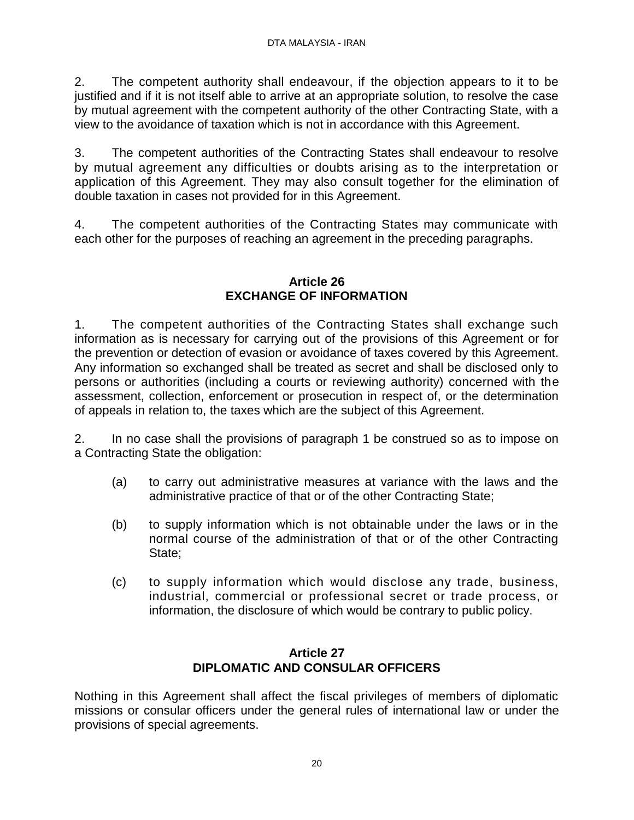2. The competent authority shall endeavour, if the objection appears to it to be justified and if it is not itself able to arrive at an appropriate solution, to resolve the case by mutual agreement with the competent authority of the other Contracting State, with a view to the avoidance of taxation which is not in accordance with this Agreement.

3. The competent authorities of the Contracting States shall endeavour to resolve by mutual agreement any difficulties or doubts arising as to the interpretation or application of this Agreement. They may also consult together for the elimination of double taxation in cases not provided for in this Agreement.

4. The competent authorities of the Contracting States may communicate with each other for the purposes of reaching an agreement in the preceding paragraphs.

# **Article 26 EXCHANGE OF INFORMATION**

1. The competent authorities of the Contracting States shall exchange such information as is necessary for carrying out of the provisions of this Agreement or for the prevention or detection of evasion or avoidance of taxes covered by this Agreement. Any information so exchanged shall be treated as secret and shall be disclosed only to persons or authorities (including a courts or reviewing authority) concerned with the assessment, collection, enforcement or prosecution in respect of, or the determination of appeals in relation to, the taxes which are the subject of this Agreement.

2. In no case shall the provisions of paragraph 1 be construed so as to impose on a Contracting State the obligation:

- (a) to carry out administrative measures at variance with the laws and the administrative practice of that or of the other Contracting State;
- (b) to supply information which is not obtainable under the laws or in the normal course of the administration of that or of the other Contracting State;
- (c) to supply information which would disclose any trade, business, industrial, commercial or professional secret or trade process, or information, the disclosure of which would be contrary to public policy.

# **Article 27 DIPLOMATIC AND CONSULAR OFFICERS**

Nothing in this Agreement shall affect the fiscal privileges of members of diplomatic missions or consular officers under the general rules of international law or under the provisions of special agreements.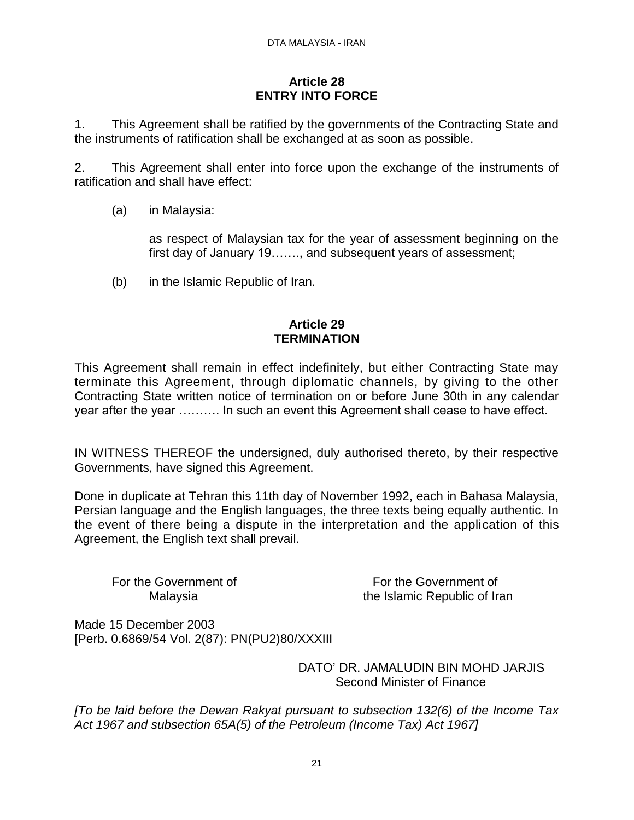#### **Article 28 ENTRY INTO FORCE**

1. This Agreement shall be ratified by the governments of the Contracting State and the instruments of ratification shall be exchanged at as soon as possible.

2. This Agreement shall enter into force upon the exchange of the instruments of ratification and shall have effect:

(a) in Malaysia:

as respect of Malaysian tax for the year of assessment beginning on the first day of January 19……., and subsequent years of assessment;

(b) in the Islamic Republic of Iran.

# **Article 29 TERMINATION**

This Agreement shall remain in effect indefinitely, but either Contracting State may terminate this Agreement, through diplomatic channels, by giving to the other Contracting State written notice of termination on or before June 30th in any calendar year after the year ………. In such an event this Agreement shall cease to have effect.

IN WITNESS THEREOF the undersigned, duly authorised thereto, by their respective Governments, have signed this Agreement.

Done in duplicate at Tehran this 11th day of November 1992, each in Bahasa Malaysia, Persian language and the English languages, the three texts being equally authentic. In the event of there being a dispute in the interpretation and the application of this Agreement, the English text shall prevail.

For the Government of For the Government of Malaysia the Islamic Republic of Iran

Made 15 December 2003 [Perb. 0.6869/54 Vol. 2(87): PN(PU2)80/XXXIII

> DATO' DR. JAMALUDIN BIN MOHD JARJIS Second Minister of Finance

*[To be laid before the Dewan Rakyat pursuant to subsection 132(6) of the Income Tax Act 1967 and subsection 65A(5) of the Petroleum (Income Tax) Act 1967]*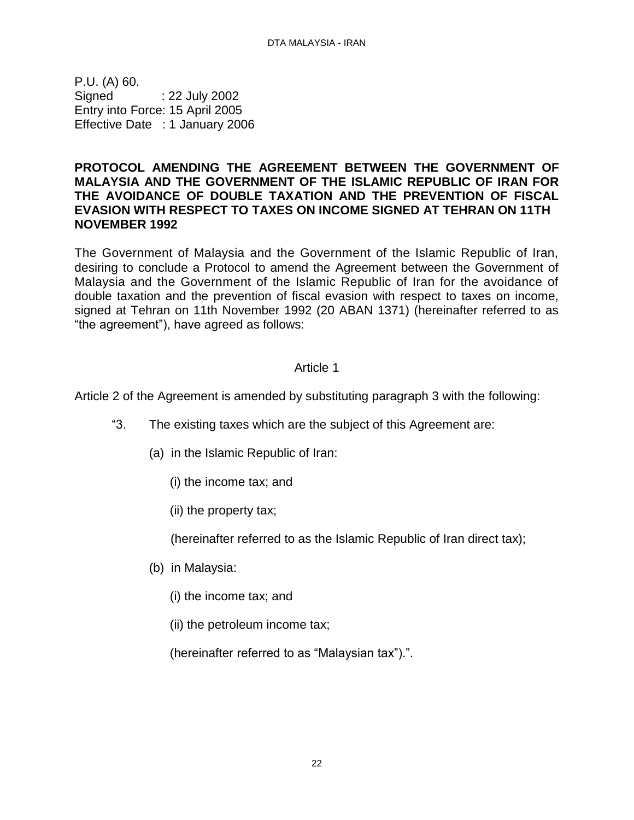P.U. (A) 60. Signed : 22 July 2002 Entry into Force: 15 April 2005 Effective Date : 1 January 2006

#### <span id="page-21-0"></span>**PROTOCOL AMENDING THE AGREEMENT BETWEEN THE GOVERNMENT OF MALAYSIA AND THE GOVERNMENT OF THE ISLAMIC REPUBLIC OF IRAN FOR THE AVOIDANCE OF DOUBLE TAXATION AND THE PREVENTION OF FISCAL EVASION WITH RESPECT TO TAXES ON INCOME SIGNED AT TEHRAN ON 11TH NOVEMBER 1992**

The Government of Malaysia and the Government of the Islamic Republic of Iran, desiring to conclude a Protocol to amend the Agreement between the Government of Malaysia and the Government of the Islamic Republic of Iran for the avoidance of double taxation and the prevention of fiscal evasion with respect to taxes on income, signed at Tehran on 11th November 1992 (20 ABAN 1371) (hereinafter referred to as "the agreement"), have agreed as follows:

# Article 1

Article 2 of the Agreement is amended by substituting paragraph 3 with the following:

- "3. The existing taxes which are the subject of this Agreement are:
	- (a) in the Islamic Republic of Iran:
		- (i) the income tax; and
		- (ii) the property tax;

(hereinafter referred to as the Islamic Republic of Iran direct tax);

- (b) in Malaysia:
	- (i) the income tax; and
	- (ii) the petroleum income tax;

(hereinafter referred to as "Malaysian tax").".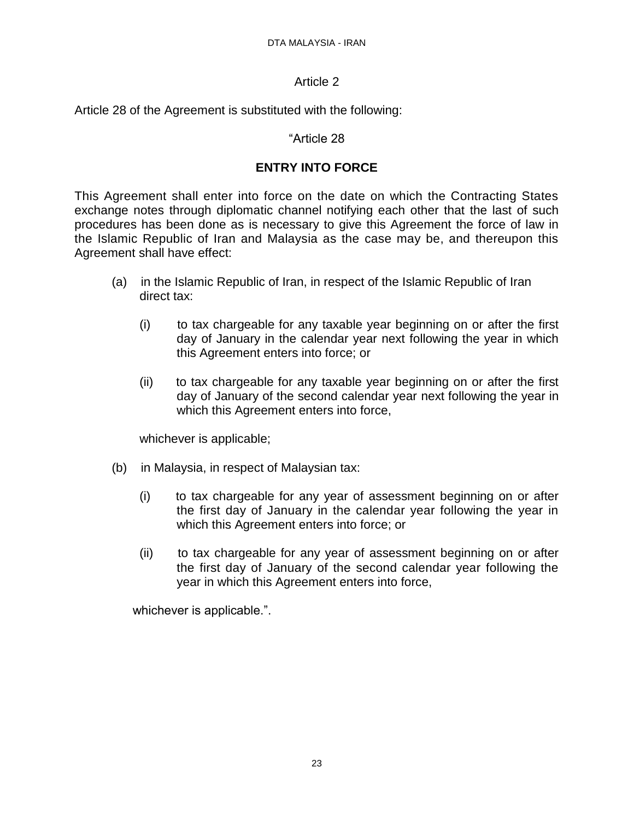#### Article 2

Article 28 of the Agreement is substituted with the following:

#### "Article 28

# **ENTRY INTO FORCE**

This Agreement shall enter into force on the date on which the Contracting States exchange notes through diplomatic channel notifying each other that the last of such procedures has been done as is necessary to give this Agreement the force of law in the Islamic Republic of Iran and Malaysia as the case may be, and thereupon this Agreement shall have effect:

- (a) in the Islamic Republic of Iran, in respect of the Islamic Republic of Iran direct tax:
	- (i) to tax chargeable for any taxable year beginning on or after the first day of January in the calendar year next following the year in which this Agreement enters into force; or
	- (ii) to tax chargeable for any taxable year beginning on or after the first day of January of the second calendar year next following the year in which this Agreement enters into force,

whichever is applicable;

- (b) in Malaysia, in respect of Malaysian tax:
	- (i) to tax chargeable for any year of assessment beginning on or after the first day of January in the calendar year following the year in which this Agreement enters into force; or
	- (ii) to tax chargeable for any year of assessment beginning on or after the first day of January of the second calendar year following the year in which this Agreement enters into force,

whichever is applicable.".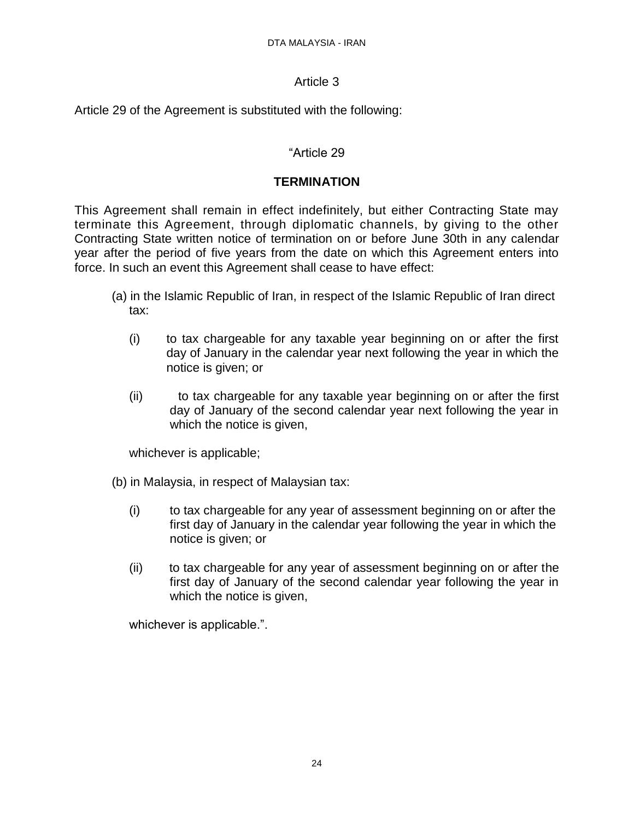# Article 3

Article 29 of the Agreement is substituted with the following:

# "Article 29

# **TERMINATION**

This Agreement shall remain in effect indefinitely, but either Contracting State may terminate this Agreement, through diplomatic channels, by giving to the other Contracting State written notice of termination on or before June 30th in any calendar year after the period of five years from the date on which this Agreement enters into force. In such an event this Agreement shall cease to have effect:

- (a) in the Islamic Republic of Iran, in respect of the Islamic Republic of Iran direct tax:
	- (i) to tax chargeable for any taxable year beginning on or after the first day of January in the calendar year next following the year in which the notice is given; or
	- (ii) to tax chargeable for any taxable year beginning on or after the first day of January of the second calendar year next following the year in which the notice is given,

whichever is applicable;

- (b) in Malaysia, in respect of Malaysian tax:
	- (i) to tax chargeable for any year of assessment beginning on or after the first day of January in the calendar year following the year in which the notice is given; or
	- (ii) to tax chargeable for any year of assessment beginning on or after the first day of January of the second calendar year following the year in which the notice is given,

whichever is applicable.".